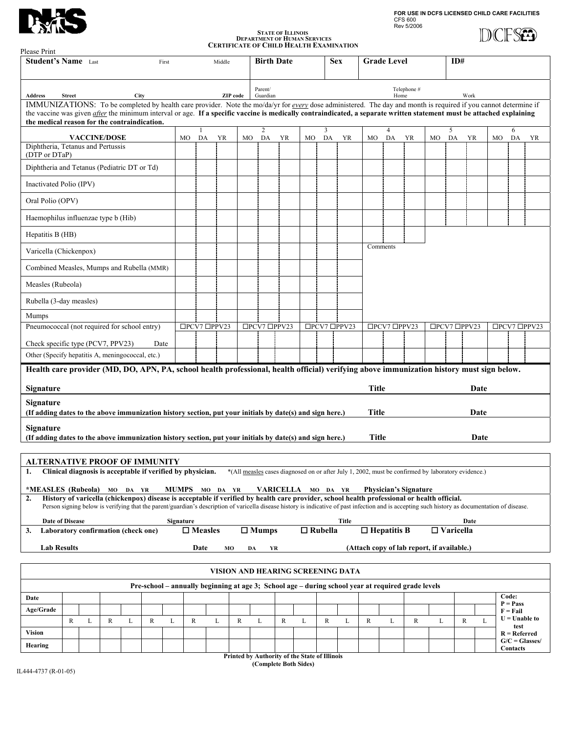**FOR USE IN DCFS LICENSED CHILD CARE FACILITIES** CFS 600 Rev 5/2006

**DCFSED** 

| XW |  |
|----|--|
|    |  |

## **STATE OF ILLINOIS**<br> **DEPARTMENT OF HUMAN SERVICES**<br> **CERTIFICATE OF CHILD HEALTH EXAMINATION**

| Please Print                                                                                                                                                                                                                                                                                                                                                                                    |                                                                                                                                                                                                  |                     |   |             |      |              |                    |                |             |                                 |                    |    |                |                                                                                                    |                     |              |                              |    |                  |              |    |                          |    |  |
|-------------------------------------------------------------------------------------------------------------------------------------------------------------------------------------------------------------------------------------------------------------------------------------------------------------------------------------------------------------------------------------------------|--------------------------------------------------------------------------------------------------------------------------------------------------------------------------------------------------|---------------------|---|-------------|------|--------------|--------------------|----------------|-------------|---------------------------------|--------------------|----|----------------|----------------------------------------------------------------------------------------------------|---------------------|--------------|------------------------------|----|------------------|--------------|----|--------------------------|----|--|
| <b>Student's Name</b> Last<br>First                                                                                                                                                                                                                                                                                                                                                             |                                                                                                                                                                                                  |                     |   |             |      |              |                    | Middle         |             | <b>Birth Date</b><br><b>Sex</b> |                    |    |                |                                                                                                    | <b>Grade Level</b>  |              |                              |    | ID#              |              |    |                          |    |  |
| <b>Address</b>                                                                                                                                                                                                                                                                                                                                                                                  | City<br><b>Street</b>                                                                                                                                                                            |                     |   |             |      |              |                    | ZIP code       |             | Parent/<br>Guardian             |                    |    |                |                                                                                                    | Telephone #<br>Home |              |                              |    |                  | Work         |    |                          |    |  |
| IMMUNIZATIONS: To be completed by health care provider. Note the mo/da/yr for every dose administered. The day and month is required if you cannot determine if<br>the vaccine was given <i>after</i> the minimum interval or age. If a specific vaccine is medically contraindicated, a separate written statement must be attached explaining<br>the medical reason for the contraindication. |                                                                                                                                                                                                  |                     |   |             |      |              |                    |                |             |                                 |                    |    |                |                                                                                                    |                     |              |                              |    |                  |              |    |                          |    |  |
|                                                                                                                                                                                                                                                                                                                                                                                                 |                                                                                                                                                                                                  | <b>VACCINE/DOSE</b> |   |             |      | MO           | $\mathbf{1}$<br>DA | <b>YR</b>      | МO          | $\overline{c}$<br>DA            | YR                 | MO | 3<br>DA        | <b>YR</b>                                                                                          | MO                  | 4<br>DA      | <b>YR</b>                    | MO | 5<br>DA          | <b>YR</b>    | MO | 6<br>DA                  | YR |  |
| Diphtheria, Tetanus and Pertussis<br>(DTP or DTaP)                                                                                                                                                                                                                                                                                                                                              |                                                                                                                                                                                                  |                     |   |             |      |              |                    |                |             |                                 |                    |    |                |                                                                                                    |                     |              |                              |    |                  |              |    |                          |    |  |
| Diphtheria and Tetanus (Pediatric DT or Td)                                                                                                                                                                                                                                                                                                                                                     |                                                                                                                                                                                                  |                     |   |             |      |              |                    |                |             |                                 |                    |    |                |                                                                                                    |                     |              |                              |    |                  |              |    |                          |    |  |
| Inactivated Polio (IPV)                                                                                                                                                                                                                                                                                                                                                                         |                                                                                                                                                                                                  |                     |   |             |      |              |                    |                |             |                                 |                    |    |                |                                                                                                    |                     |              |                              |    |                  |              |    |                          |    |  |
| Oral Polio (OPV)                                                                                                                                                                                                                                                                                                                                                                                |                                                                                                                                                                                                  |                     |   |             |      |              |                    |                |             |                                 |                    |    |                |                                                                                                    |                     |              |                              |    |                  |              |    |                          |    |  |
| Haemophilus influenzae type b (Hib)                                                                                                                                                                                                                                                                                                                                                             |                                                                                                                                                                                                  |                     |   |             |      |              |                    |                |             |                                 |                    |    |                |                                                                                                    |                     |              |                              |    |                  |              |    |                          |    |  |
| Hepatitis B (HB)                                                                                                                                                                                                                                                                                                                                                                                |                                                                                                                                                                                                  |                     |   |             |      |              |                    |                |             |                                 |                    |    |                |                                                                                                    |                     |              |                              |    |                  |              |    |                          |    |  |
| Comments<br>Varicella (Chickenpox)                                                                                                                                                                                                                                                                                                                                                              |                                                                                                                                                                                                  |                     |   |             |      |              |                    |                |             |                                 |                    |    |                |                                                                                                    |                     |              |                              |    |                  |              |    |                          |    |  |
| Combined Measles, Mumps and Rubella (MMR)                                                                                                                                                                                                                                                                                                                                                       |                                                                                                                                                                                                  |                     |   |             |      |              |                    |                |             |                                 |                    |    |                |                                                                                                    |                     |              |                              |    |                  |              |    |                          |    |  |
| Measles (Rubeola)                                                                                                                                                                                                                                                                                                                                                                               |                                                                                                                                                                                                  |                     |   |             |      |              |                    |                |             |                                 |                    |    |                |                                                                                                    |                     |              |                              |    |                  |              |    |                          |    |  |
| Rubella (3-day measles)                                                                                                                                                                                                                                                                                                                                                                         |                                                                                                                                                                                                  |                     |   |             |      |              |                    |                |             |                                 |                    |    |                |                                                                                                    |                     |              |                              |    |                  |              |    |                          |    |  |
| Mumps                                                                                                                                                                                                                                                                                                                                                                                           |                                                                                                                                                                                                  |                     |   |             |      |              |                    |                |             |                                 |                    |    |                |                                                                                                    |                     |              |                              |    |                  |              |    |                          |    |  |
| Pneumococcal (not required for school entry)                                                                                                                                                                                                                                                                                                                                                    |                                                                                                                                                                                                  |                     |   |             |      |              | □PCV7 □PPV23       |                |             | □PCV7 □PPV23                    |                    |    |                | □PCV7 □PPV23                                                                                       |                     | □PCV7 □PPV23 |                              |    |                  | □PCV7 □PPV23 |    | □PCV7 □PPV23             |    |  |
| Check specific type (PCV7, PPV23)                                                                                                                                                                                                                                                                                                                                                               |                                                                                                                                                                                                  |                     |   |             | Date |              |                    |                |             |                                 |                    |    |                |                                                                                                    |                     |              |                              |    |                  |              |    |                          |    |  |
| Other (Specify hepatitis A, meningococcal, etc.)                                                                                                                                                                                                                                                                                                                                                |                                                                                                                                                                                                  |                     |   |             |      |              |                    |                |             |                                 |                    |    |                |                                                                                                    |                     |              |                              |    |                  |              |    |                          |    |  |
| Health care provider (MD, DO, APN, PA, school health professional, health official) verifying above immunization history must sign below.                                                                                                                                                                                                                                                       |                                                                                                                                                                                                  |                     |   |             |      |              |                    |                |             |                                 |                    |    |                |                                                                                                    |                     |              |                              |    |                  |              |    |                          |    |  |
| Signature                                                                                                                                                                                                                                                                                                                                                                                       |                                                                                                                                                                                                  |                     |   |             |      |              |                    |                |             |                                 |                    |    |                |                                                                                                    | <b>Title</b>        |              |                              |    |                  | Date         |    |                          |    |  |
| <b>Signature</b><br>(If adding dates to the above immunization history section, put your initials by date(s) and sign here.)                                                                                                                                                                                                                                                                    |                                                                                                                                                                                                  |                     |   |             |      |              |                    |                |             |                                 |                    |    |                |                                                                                                    | <b>Title</b>        |              |                              |    |                  | Date         |    |                          |    |  |
| <b>Signature</b>                                                                                                                                                                                                                                                                                                                                                                                |                                                                                                                                                                                                  |                     |   |             |      |              |                    |                |             |                                 |                    |    |                |                                                                                                    |                     |              |                              |    |                  |              |    |                          |    |  |
| (If adding dates to the above immunization history section, put your initials by date(s) and sign here.)                                                                                                                                                                                                                                                                                        |                                                                                                                                                                                                  |                     |   |             |      |              |                    |                |             |                                 |                    |    |                |                                                                                                    | <b>Title</b>        |              |                              |    |                  | Date         |    |                          |    |  |
|                                                                                                                                                                                                                                                                                                                                                                                                 |                                                                                                                                                                                                  |                     |   |             |      |              |                    |                |             |                                 |                    |    |                |                                                                                                    |                     |              |                              |    |                  |              |    |                          |    |  |
| ALTERNATIVE PROOF OF IMMUNITY<br>1.                                                                                                                                                                                                                                                                                                                                                             | Clinical diagnosis is acceptable if verified by physician.                                                                                                                                       |                     |   |             |      |              |                    |                |             |                                 |                    |    |                | *(All measles cases diagnosed on or after July 1, 2002, must be confirmed by laboratory evidence.) |                     |              |                              |    |                  |              |    |                          |    |  |
|                                                                                                                                                                                                                                                                                                                                                                                                 |                                                                                                                                                                                                  |                     |   |             |      |              |                    |                |             |                                 |                    |    |                |                                                                                                    |                     |              |                              |    |                  |              |    |                          |    |  |
| *MEASLES (Rubeola) MO DA YR<br>2.                                                                                                                                                                                                                                                                                                                                                               | History of varicella (chickenpox) disease is acceptable if verified by health care provider, school health professional or health official.                                                      |                     |   |             |      |              |                    | MUMPS MO DA YR |             |                                 | VARICELLA MO DA YR |    |                |                                                                                                    |                     |              | <b>Physician's Signature</b> |    |                  |              |    |                          |    |  |
|                                                                                                                                                                                                                                                                                                                                                                                                 | Person signing below is verifying that the parent/guardian's description of varicella disease history is indicative of past infection and is accepting such history as documentation of disease. |                     |   |             |      |              |                    |                |             |                                 |                    |    |                |                                                                                                    |                     |              |                              |    |                  |              |    |                          |    |  |
| 3.                                                                                                                                                                                                                                                                                                                                                                                              | <b>Date of Disease</b><br>Laboratory confirmation (check one)                                                                                                                                    |                     |   |             |      | Signature    | $\square$ Measles  |                |             | $\Box$ Mumps                    |                    |    | $\Box$ Rubella | Title                                                                                              | $\Box$ Hepatitis B  |              |                              |    | $\Box$ Varicella | Date         |    |                          |    |  |
| <b>Lab Results</b><br>Date<br>(Attach copy of lab report, if available.)<br>MО<br>YR<br>DA                                                                                                                                                                                                                                                                                                      |                                                                                                                                                                                                  |                     |   |             |      |              |                    |                |             |                                 |                    |    |                |                                                                                                    |                     |              |                              |    |                  |              |    |                          |    |  |
| VISION AND HEARING SCREENING DATA                                                                                                                                                                                                                                                                                                                                                               |                                                                                                                                                                                                  |                     |   |             |      |              |                    |                |             |                                 |                    |    |                |                                                                                                    |                     |              |                              |    |                  |              |    |                          |    |  |
| Pre-school - annually beginning at age 3; School age - during school year at required grade levels                                                                                                                                                                                                                                                                                              |                                                                                                                                                                                                  |                     |   |             |      |              |                    |                |             |                                 |                    |    |                |                                                                                                    |                     |              |                              |    |                  |              |    |                          |    |  |
| Date                                                                                                                                                                                                                                                                                                                                                                                            |                                                                                                                                                                                                  |                     |   |             |      |              |                    |                |             |                                 |                    |    |                |                                                                                                    |                     |              |                              |    |                  |              |    | Code:                    |    |  |
| Age/Grade                                                                                                                                                                                                                                                                                                                                                                                       |                                                                                                                                                                                                  |                     |   |             |      |              |                    |                |             |                                 |                    |    |                |                                                                                                    |                     |              |                              |    |                  |              |    | $P = Pass$<br>$F = Fail$ |    |  |
|                                                                                                                                                                                                                                                                                                                                                                                                 | $\mathbb{R}$                                                                                                                                                                                     | $\mathbb R$<br>L    | L | $\mathbb R$ | L    | $\mathbb{R}$ |                    | L              | $\mathbb R$ | L                               | R                  | L  | $\mathbb{R}$   | L                                                                                                  | R                   | L            | $\mathbb R$                  | L  |                  | R<br>L       |    | $U =$ Unable to<br>test  |    |  |
| <b>Vision</b>                                                                                                                                                                                                                                                                                                                                                                                   |                                                                                                                                                                                                  |                     |   |             |      |              |                    |                |             |                                 |                    |    |                |                                                                                                    |                     |              |                              |    |                  |              |    | $R =$ Referred           |    |  |
| Hearing                                                                                                                                                                                                                                                                                                                                                                                         |                                                                                                                                                                                                  |                     |   |             |      |              |                    |                |             |                                 |                    |    |                |                                                                                                    |                     |              |                              |    |                  |              |    | $G/C = Glasses/$         |    |  |